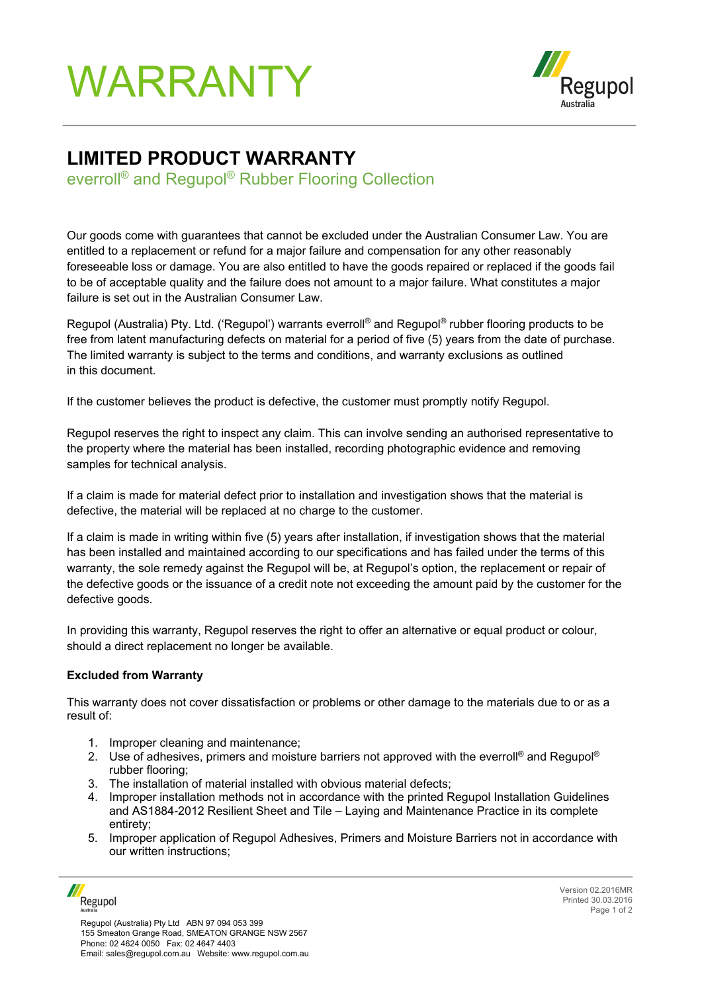## WARRANTY



## **LIMITED PRODUCT WARRANTY**

everroll® and Regupol® Rubber Flooring Collection

Our goods come with guarantees that cannot be excluded under the Australian Consumer Law. You are entitled to a replacement or refund for a major failure and compensation for any other reasonably foreseeable loss or damage. You are also entitled to have the goods repaired or replaced if the goods fail to be of acceptable quality and the failure does not amount to a major failure. What constitutes a major failure is set out in the Australian Consumer Law.

Regupol (Australia) Pty. Ltd. ('Regupol') warrants everroll® and Regupol® rubber flooring products to be free from latent manufacturing defects on material for a period of five (5) years from the date of purchase. The limited warranty is subject to the terms and conditions, and warranty exclusions as outlined in this document.

If the customer believes the product is defective, the customer must promptly notify Regupol.

Regupol reserves the right to inspect any claim. This can involve sending an authorised representative to the property where the material has been installed, recording photographic evidence and removing samples for technical analysis.

If a claim is made for material defect prior to installation and investigation shows that the material is defective, the material will be replaced at no charge to the customer.

If a claim is made in writing within five (5) years after installation, if investigation shows that the material has been installed and maintained according to our specifications and has failed under the terms of this warranty, the sole remedy against the Regupol will be, at Regupol's option, the replacement or repair of the defective goods or the issuance of a credit note not exceeding the amount paid by the customer for the defective goods.

In providing this warranty, Regupol reserves the right to offer an alternative or equal product or colour, should a direct replacement no longer be available.

## **Excluded from Warranty**

This warranty does not cover dissatisfaction or problems or other damage to the materials due to or as a result of:

- 1. Improper cleaning and maintenance;
- 2. Use of adhesives, primers and moisture barriers not approved with the everroll® and Requpol® rubber flooring;
- 3. The installation of material installed with obvious material defects;
- 4. Improper installation methods not in accordance with the printed Regupol Installation Guidelines and AS1884-2012 Resilient Sheet and Tile – Laying and Maintenance Practice in its complete entirety;
- 5. Improper application of Regupol Adhesives, Primers and Moisture Barriers not in accordance with our written instructions;

Regupol

Version 02.2016MR Printed 30.03.2016 Page 1 of 2